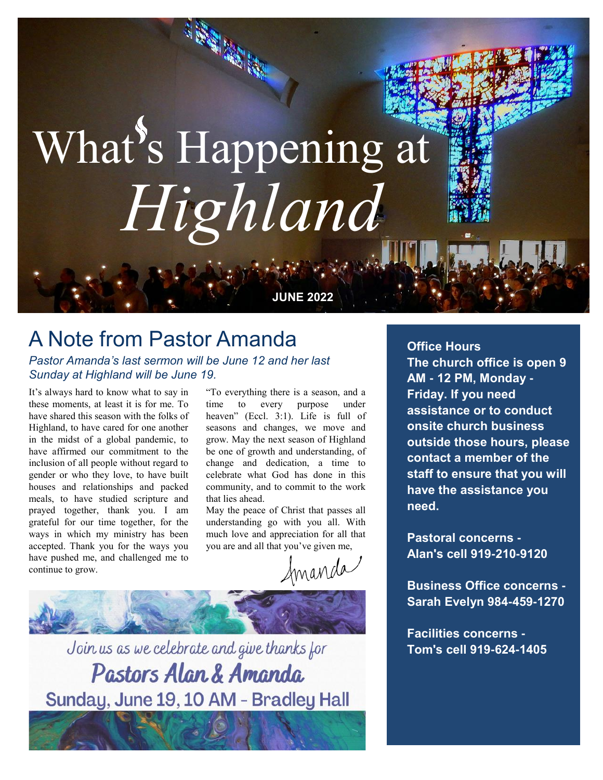# What's Happening at *Highland*

#### **JUNE 2022**

#### A Note from Pastor Amanda

*Pastor Amanda's last sermon will be June 12 and her last Sunday at Highland will be June 19.*

It's always hard to know what to say in these moments, at least it is for me. To have shared this season with the folks of Highland, to have cared for one another in the midst of a global pandemic, to have affirmed our commitment to the inclusion of all people without regard to gender or who they love, to have built houses and relationships and packed meals, to have studied scripture and prayed together, thank you. I am grateful for our time together, for the ways in which my ministry has been accepted. Thank you for the ways you have pushed me, and challenged me to continue to grow.

"To everything there is a season, and a time to every purpose under heaven" (Eccl. 3:1). Life is full of seasons and changes, we move and grow. May the next season of Highland be one of growth and understanding, of change and dedication, a time to celebrate what God has done in this community, and to commit to the work that lies ahead.

May the peace of Christ that passes all understanding go with you all. With much love and appreciation for all that you are and all that you've given me,

Imanda



Join us as we celebrate and give thanks for Pastors Alan & Amanda Sunday, June 19, 10 AM - Bradley Hall **Office Hours The church office is open 9 AM - 12 PM, Monday - Friday. If you need assistance or to conduct onsite church business outside those hours, please contact a member of the staff to ensure that you will have the assistance you need.** 

**Pastoral concerns - Alan's cell 919-210-9120**

**Business Office concerns - Sarah Evelyn 984-459-1270**

**Facilities concerns - Tom's cell 919-624-1405**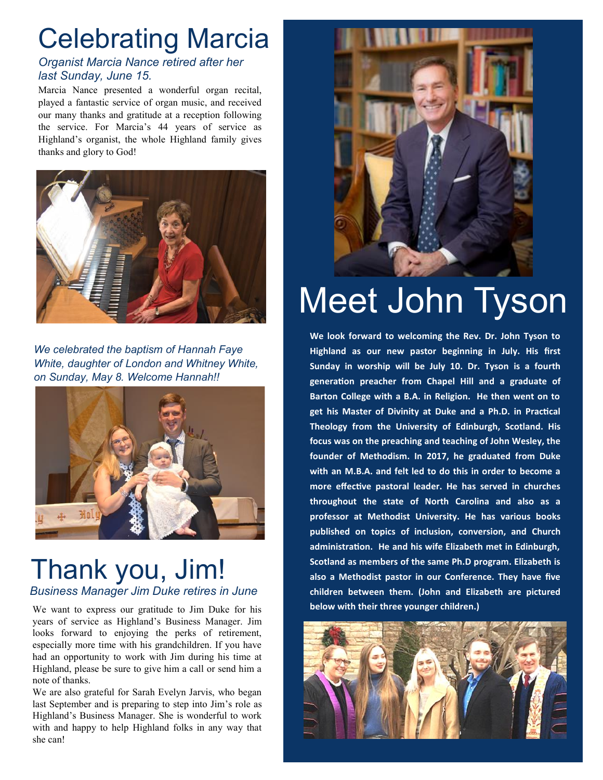### Celebrating Marcia

#### *Organist Marcia Nance retired after her last Sunday, June 15.*

Marcia Nance presented a wonderful organ recital, played a fantastic service of organ music, and received our many thanks and gratitude at a reception following the service. For Marcia's 44 years of service as Highland's organist, the whole Highland family gives thanks and glory to God!



*We celebrated the baptism of Hannah Faye White, daughter of London and Whitney White, on Sunday, May 8. Welcome Hannah!!*



#### Thank you, Jim! *Business Manager Jim Duke retires in June*

We want to express our gratitude to Jim Duke for his years of service as Highland's Business Manager. Jim looks forward to enjoying the perks of retirement, especially more time with his grandchildren. If you have had an opportunity to work with Jim during his time at Highland, please be sure to give him a call or send him a note of thanks.

We are also grateful for Sarah Evelyn Jarvis, who began last September and is preparing to step into Jim's role as Highland's Business Manager. She is wonderful to work with and happy to help Highland folks in any way that she can!



### Meet John Tyson

**We look forward to welcoming the Rev. Dr. John Tyson to Highland as our new pastor beginning in July. His first Sunday in worship will be July 10. Dr. Tyson is a fourth generation preacher from Chapel Hill and a graduate of Barton College with a B.A. in Religion. He then went on to get his Master of Divinity at Duke and a Ph.D. in Practical Theology from the University of Edinburgh, Scotland. His focus was on the preaching and teaching of John Wesley, the founder of Methodism. In 2017, he graduated from Duke with an M.B.A. and felt led to do this in order to become a more effective pastoral leader. He has served in churches throughout the state of North Carolina and also as a professor at Methodist University. He has various books published on topics of inclusion, conversion, and Church administration. He and his wife Elizabeth met in Edinburgh, Scotland as members of the same Ph.D program. Elizabeth is also a Methodist pastor in our Conference. They have five children between them. (John and Elizabeth are pictured below with their three younger children.)** 

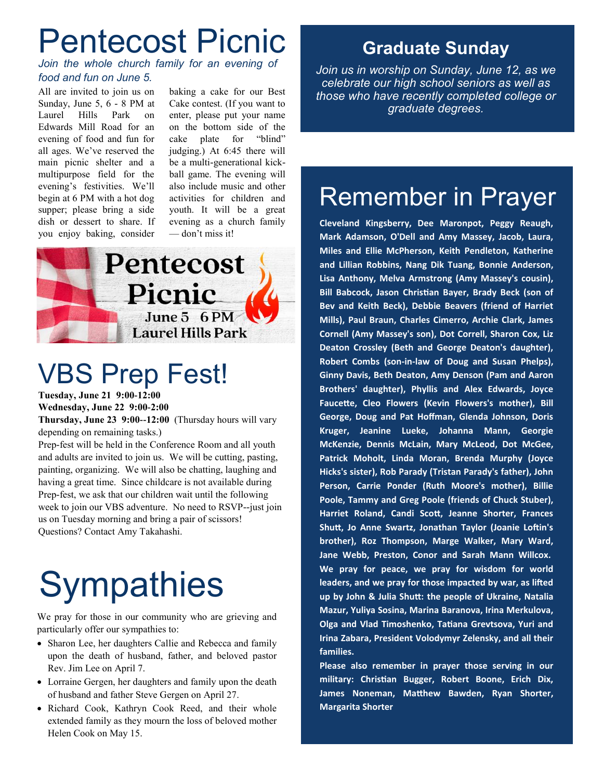### Pentecost Picnic

*Join the whole church family for an evening of food and fun on June 5.*

All are invited to join us on Sunday, June 5, 6 - 8 PM at Laurel Hills Park on Edwards Mill Road for an evening of food and fun for all ages. We've reserved the main picnic shelter and a multipurpose field for the evening's festivities. We'll begin at 6 PM with a hot dog supper; please bring a side dish or dessert to share. If you enjoy baking, consider

baking a cake for our Best Cake contest. (If you want to enter, please put your name on the bottom side of the cake plate for "blind" judging.) At 6:45 there will be a multi-generational kickball game. The evening will also include music and other activities for children and youth. It will be a great evening as a church family — don't miss it!



### VBS Prep Fest!

**Tuesday, June 21 9:00-12:00 Wednesday, June 22 9:00-2:00**

**Thursday, June 23 9:00--12:00** (Thursday hours will vary depending on remaining tasks.)

Prep-fest will be held in the Conference Room and all youth and adults are invited to join us. We will be cutting, pasting, painting, organizing. We will also be chatting, laughing and having a great time. Since childcare is not available during Prep-fest, we ask that our children wait until the following week to join our VBS adventure. No need to RSVP--just join us on Tuesday morning and bring a pair of scissors! Questions? Contact Amy Takahashi.

# **Sympathies**

We pray for those in our community who are grieving and particularly offer our sympathies to:

- Sharon Lee, her daughters Callie and Rebecca and family upon the death of husband, father, and beloved pastor Rev. Jim Lee on April 7.
- Lorraine Gergen, her daughters and family upon the death of husband and father Steve Gergen on April 27.
- Richard Cook, Kathryn Cook Reed, and their whole extended family as they mourn the loss of beloved mother Helen Cook on May 15.

#### **Graduate Sunday**

*Join us in worship on Sunday, June 12, as we celebrate our high school seniors as well as those who have recently completed college or graduate degrees.* 

### Remember in Prayer

**Cleveland Kingsberry, Dee Maronpot, Peggy Reaugh, Mark Adamson, O'Dell and Amy Massey, Jacob, Laura, Miles and Ellie McPherson, Keith Pendleton, Katherine and Lillian Robbins, Nang Dik Tuang, Bonnie Anderson, Lisa Anthony, Melva Armstrong (Amy Massey's cousin), Bill Babcock, Jason Christian Bayer, Brady Beck (son of Bev and Keith Beck), Debbie Beavers (friend of Harriet Mills), Paul Braun, Charles Cimerro, Archie Clark, James Cornell (Amy Massey's son), Dot Correll, Sharon Cox, Liz Deaton Crossley (Beth and George Deaton's daughter), Robert Combs (son-in-law of Doug and Susan Phelps), Ginny Davis, Beth Deaton, Amy Denson (Pam and Aaron Brothers' daughter), Phyllis and Alex Edwards, Joyce Faucette, Cleo Flowers (Kevin Flowers's mother), Bill George, Doug and Pat Hoffman, Glenda Johnson, Doris Kruger, Jeanine Lueke, Johanna Mann, Georgie McKenzie, Dennis McLain, Mary McLeod, Dot McGee, Patrick Moholt, Linda Moran, Brenda Murphy (Joyce Hicks's sister), Rob Parady (Tristan Parady's father), John Person, Carrie Ponder (Ruth Moore's mother), Billie Poole, Tammy and Greg Poole (friends of Chuck Stuber), Harriet Roland, Candi Scott, Jeanne Shorter, Frances Shutt, Jo Anne Swartz, Jonathan Taylor (Joanie Loftin's brother), Roz Thompson, Marge Walker, Mary Ward, Jane Webb, Preston, Conor and Sarah Mann Willcox. We pray for peace, we pray for wisdom for world leaders, and we pray for those impacted by war, as lifted up by John & Julia Shutt: the people of Ukraine, Natalia Mazur, Yuliya Sosina, Marina Baranova, Irina Merkulova, Olga and Vlad Timoshenko, Tatiana Grevtsova, Yuri and Irina Zabara, President Volodymyr Zelensky, and all their families.** 

**Please also remember in prayer those serving in our military: Christian Bugger, Robert Boone, Erich Dix, James Noneman, Matthew Bawden, Ryan Shorter, Margarita Shorter**